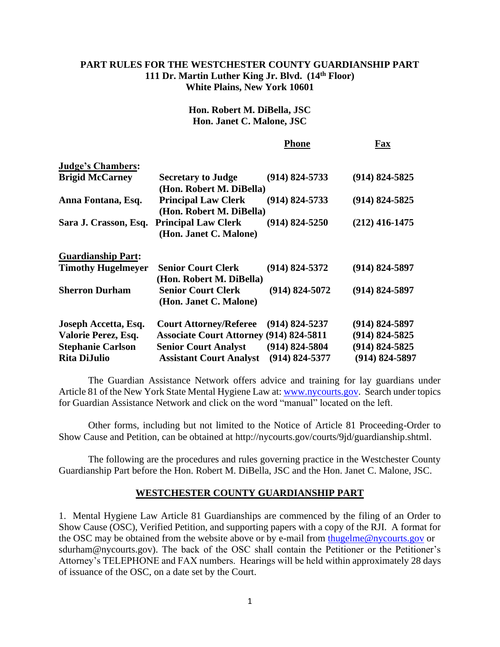## **PART RULES FOR THE WESTCHESTER COUNTY GUARDIANSHIP PART 111 Dr. Martin Luther King Jr. Blvd. (14th Floor) White Plains, New York 10601**

**Hon. Robert M. DiBella, JSC Hon. Janet C. Malone, JSC**

|                           |                                                        | <b>Phone</b>       | Fax                |
|---------------------------|--------------------------------------------------------|--------------------|--------------------|
| <b>Judge's Chambers:</b>  |                                                        |                    |                    |
| <b>Brigid McCarney</b>    | <b>Secretary to Judge</b><br>(Hon. Robert M. DiBella)  | $(914) 824 - 5733$ | $(914) 824 - 5825$ |
| Anna Fontana, Esq.        | <b>Principal Law Clerk</b><br>(Hon. Robert M. DiBella) | $(914) 824 - 5733$ | $(914) 824 - 5825$ |
| Sara J. Crasson, Esq.     | <b>Principal Law Clerk</b><br>(Hon. Janet C. Malone)   | $(914) 824 - 5250$ | $(212)$ 416-1475   |
| <b>Guardianship Part:</b> |                                                        |                    |                    |
| <b>Timothy Hugelmeyer</b> | <b>Senior Court Clerk</b><br>(Hon. Robert M. DiBella)  | $(914) 824 - 5372$ | $(914) 824 - 5897$ |
| <b>Sherron Durham</b>     | <b>Senior Court Clerk</b><br>(Hon. Janet C. Malone)    | $(914) 824 - 5072$ | $(914) 824 - 5897$ |
| Joseph Accetta, Esq.      | <b>Court Attorney/Referee</b>                          | $(914) 824 - 5237$ | $(914) 824 - 5897$ |
| Valorie Perez, Esq.       | <b>Associate Court Attorney (914) 824-5811</b>         |                    | $(914) 824 - 5825$ |
| <b>Stephanie Carlson</b>  | <b>Senior Court Analyst</b>                            | $(914) 824 - 5804$ | $(914) 824 - 5825$ |
| <b>Rita DiJulio</b>       | <b>Assistant Court Analyst</b>                         | $(914) 824 - 5377$ | (914) 824-5897     |

The Guardian Assistance Network offers advice and training for lay guardians under Article 81 of the New York State Mental Hygiene Law at[: www.nycourts.gov.](http://www.nycourts.gov/) Search under topics for Guardian Assistance Network and click on the word "manual" located on the left.

Other forms, including but not limited to the Notice of Article 81 Proceeding-Order to Show Cause and Petition, can be obtained at [http://nycourts.gov/courts/9jd/guardianship.shtml.](http://nycourts.gov/courts/9jd/guardianship.shtml)

The following are the procedures and rules governing practice in the Westchester County Guardianship Part before the Hon. Robert M. DiBella, JSC and the Hon. Janet C. Malone, JSC.

## **WESTCHESTER COUNTY GUARDIANSHIP PART**

1. Mental Hygiene Law Article 81 Guardianships are commenced by the filing of an Order to Show Cause (OSC), Verified Petition, and supporting papers with a copy of the RJI. A format for the OSC may be obtained from the website above or by e-mail from [thugelme@nycourts.gov](mailto:thugelme@nycourts.gov) [or](mailto:orwfreyhag@nycourts.gov) sdurham@nycourts.gov). The back of the OSC shall contain the Petitioner or the Petitioner's Attorney's TELEPHONE and FAX numbers. Hearings will be held within approximately 28 days of issuance of the OSC, on a date set by the Court.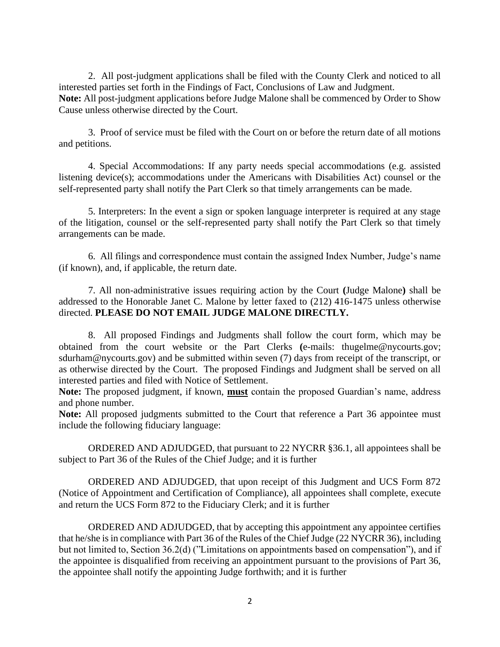2. All post-judgment applications shall be filed with the County Clerk and noticed to all interested parties set forth in the Findings of Fact, Conclusions of Law and Judgment. **Note:** All post-judgment applications before Judge Malone shall be commenced by Order to Show Cause unless otherwise directed by the Court.

3. Proof of service must be filed with the Court on or before the return date of all motions and petitions.

4. Special Accommodations: If any party needs special accommodations (e.g. assisted listening device(s); accommodations under the Americans with Disabilities Act) counsel or the self-represented party shall notify the Part Clerk so that timely arrangements can be made.

5. Interpreters: In the event a sign or spoken language interpreter is required at any stage of the litigation, counsel or the self-represented party shall notify the Part Clerk so that timely arrangements can be made.

6. All filings and correspondence must contain the assigned Index Number, Judge's name (if known), and, if applicable, the return date.

7. All non-administrative issues requiring action by the Court **(**Judge Malone**)** shall be addressed to the Honorable Janet C. Malone by letter faxed to (212) 416-1475 unless otherwise directed. **PLEASE DO NOT EMAIL JUDGE MALONE DIRECTLY.**

8. All proposed Findings and Judgments shall follow the court form, which may be obtained from the court website or the Part Clerks **(**e-mails: [thugelme@nycourts.gov;](mailto:thugelme@nycourts.gov) sdurham@nycourts.gov) and be submitted within seven (7) days from receipt of the transcript, or as otherwise directed by the Court. The proposed Findings and Judgment shall be served on all interested parties and filed with Notice of Settlement.

**Note:** The proposed judgment, if known, **must** contain the proposed Guardian's name, address and phone number.

**Note:** All proposed judgments submitted to the Court that reference a Part 36 appointee must include the following fiduciary language:

ORDERED AND ADJUDGED, that pursuant to 22 NYCRR §36.1, all appointees shall be subject to Part 36 of the Rules of the Chief Judge; and it is further

ORDERED AND ADJUDGED, that upon receipt of this Judgment and UCS Form 872 (Notice of Appointment and Certification of Compliance), all appointees shall complete, execute and return the UCS Form 872 to the Fiduciary Clerk; and it is further

ORDERED AND ADJUDGED, that by accepting this appointment any appointee certifies that he/she is in compliance with Part 36 of the Rules of the Chief Judge (22 NYCRR 36), including but not limited to, Section 36.2(d) ("Limitations on appointments based on compensation"), and if the appointee is disqualified from receiving an appointment pursuant to the provisions of Part 36, the appointee shall notify the appointing Judge forthwith; and it is further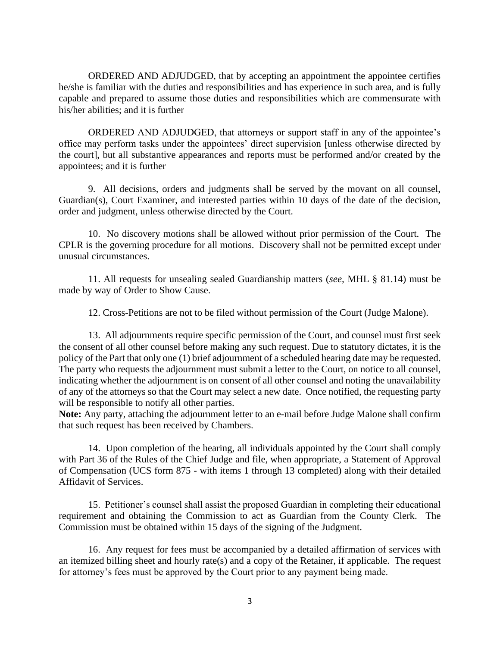ORDERED AND ADJUDGED, that by accepting an appointment the appointee certifies he/she is familiar with the duties and responsibilities and has experience in such area, and is fully capable and prepared to assume those duties and responsibilities which are commensurate with his/her abilities; and it is further

ORDERED AND ADJUDGED, that attorneys or support staff in any of the appointee's office may perform tasks under the appointees' direct supervision [unless otherwise directed by the court], but all substantive appearances and reports must be performed and/or created by the appointees; and it is further

9. All decisions, orders and judgments shall be served by the movant on all counsel, Guardian(s), Court Examiner, and interested parties within 10 days of the date of the decision, order and judgment, unless otherwise directed by the Court.

10. No discovery motions shall be allowed without prior permission of the Court. The CPLR is the governing procedure for all motions. Discovery shall not be permitted except under unusual circumstances.

11. All requests for unsealing sealed Guardianship matters (*see,* MHL § 81.14) must be made by way of Order to Show Cause.

12. Cross-Petitions are not to be filed without permission of the Court (Judge Malone).

13. All adjournments require specific permission of the Court, and counsel must first seek the consent of all other counsel before making any such request. Due to statutory dictates, it is the policy of the Part that only one (1) brief adjournment of a scheduled hearing date may be requested. The party who requests the adjournment must submit a letter to the Court, on notice to all counsel, indicating whether the adjournment is on consent of all other counsel and noting the unavailability of any of the attorneys so that the Court may select a new date. Once notified, the requesting party will be responsible to notify all other parties.

**Note:** Any party, attaching the adjournment letter to an e-mail before Judge Malone shall confirm that such request has been received by Chambers.

14. Upon completion of the hearing, all individuals appointed by the Court shall comply with Part 36 of the Rules of the Chief Judge and file, when appropriate, a Statement of Approval of Compensation (UCS form 875 - with items 1 through 13 completed) along with their detailed Affidavit of Services.

15. Petitioner's counsel shall assist the proposed Guardian in completing their educational requirement and obtaining the Commission to act as Guardian from the County Clerk. The Commission must be obtained within 15 days of the signing of the Judgment.

16. Any request for fees must be accompanied by a detailed affirmation of services with an itemized billing sheet and hourly rate(s) and a copy of the Retainer, if applicable. The request for attorney's fees must be approved by the Court prior to any payment being made.